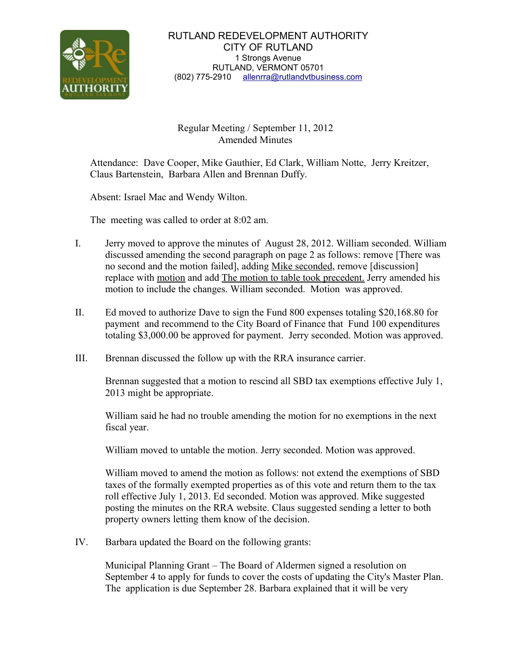

## Regular Meeting / September 11, 2012 Amended Minutes

Attendance: Dave Cooper, Mike Gauthier, Ed Clark, William Notte, Jerry Kreitzer, Claus Bartenstein, Barbara Allen and Brennan Duffy.

Absent: Israel Mac and Wendy Wilton.

The meeting was called to order at 8:02 am.

- I. Jerry moved to approve the minutes of August 28, 2012. William seconded. William discussed amending the second paragraph on page 2 as follows: remove [There was no second and the motion failed], adding Mike seconded, remove [discussion] replace with motion and add The motion to table took precedent. Jerry amended his motion to include the changes. William seconded. Motion was approved.
- II. Ed moved to authorize Dave to sign the Fund 800 expenses totaling \$20,168.80 for payment and recommend to the City Board of Finance that Fund 100 expenditures totaling \$3,000.00 be approved for payment. Jerry seconded. Motion was approved.
- III. Brennan discussed the follow up with the RRA insurance carrier.

 Brennan suggested that a motion to rescind all SBD tax exemptions effective July 1, 2013 might be appropriate.

 William said he had no trouble amending the motion for no exemptions in the next fiscal year.

William moved to untable the motion. Jerry seconded. Motion was approved.

 William moved to amend the motion as follows: not extend the exemptions of SBD taxes of the formally exempted properties as of this vote and return them to the tax roll effective July 1, 2013. Ed seconded. Motion was approved. Mike suggested posting the minutes on the RRA website. Claus suggested sending a letter to both property owners letting them know of the decision.

IV. Barbara updated the Board on the following grants:

 Municipal Planning Grant – The Board of Aldermen signed a resolution on September 4 to apply for funds to cover the costs of updating the City's Master Plan. The application is due September 28. Barbara explained that it will be very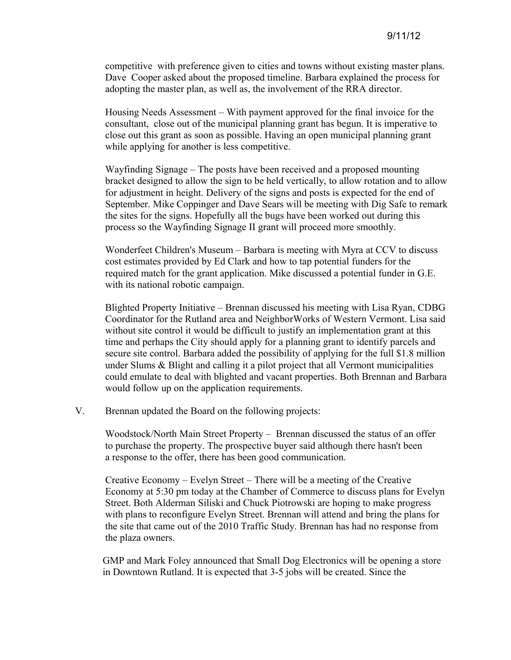competitive with preference given to cities and towns without existing master plans. Dave Cooper asked about the proposed timeline. Barbara explained the process for adopting the master plan, as well as, the involvement of the RRA director.

 Housing Needs Assessment – With payment approved for the final invoice for the consultant, close out of the municipal planning grant has begun. It is imperative to close out this grant as soon as possible. Having an open municipal planning grant while applying for another is less competitive.

 Wayfinding Signage – The posts have been received and a proposed mounting bracket designed to allow the sign to be held vertically, to allow rotation and to allow for adjustment in height. Delivery of the signs and posts is expected for the end of September. Mike Coppinger and Dave Sears will be meeting with Dig Safe to remark the sites for the signs. Hopefully all the bugs have been worked out during this process so the Wayfinding Signage II grant will proceed more smoothly.

 Wonderfeet Children's Museum – Barbara is meeting with Myra at CCV to discuss cost estimates provided by Ed Clark and how to tap potential funders for the required match for the grant application. Mike discussed a potential funder in G.E. with its national robotic campaign.

 Blighted Property Initiative – Brennan discussed his meeting with Lisa Ryan, CDBG Coordinator for the Rutland area and NeighborWorks of Western Vermont. Lisa said without site control it would be difficult to justify an implementation grant at this time and perhaps the City should apply for a planning grant to identify parcels and secure site control. Barbara added the possibility of applying for the full \$1.8 million under Slums & Blight and calling it a pilot project that all Vermont municipalities could emulate to deal with blighted and vacant properties. Both Brennan and Barbara would follow up on the application requirements.

V. Brennan updated the Board on the following projects:

 Woodstock/North Main Street Property – Brennan discussed the status of an offer to purchase the property. The prospective buyer said although there hasn't been a response to the offer, there has been good communication.

 Creative Economy – Evelyn Street – There will be a meeting of the Creative Economy at 5:30 pm today at the Chamber of Commerce to discuss plans for Evelyn Street. Both Alderman Siliski and Chuck Piotrowski are hoping to make progress with plans to reconfigure Evelyn Street. Brennan will attend and bring the plans for the site that came out of the 2010 Traffic Study. Brennan has had no response from the plaza owners.

 GMP and Mark Foley announced that Small Dog Electronics will be opening a store in Downtown Rutland. It is expected that 3-5 jobs will be created. Since the